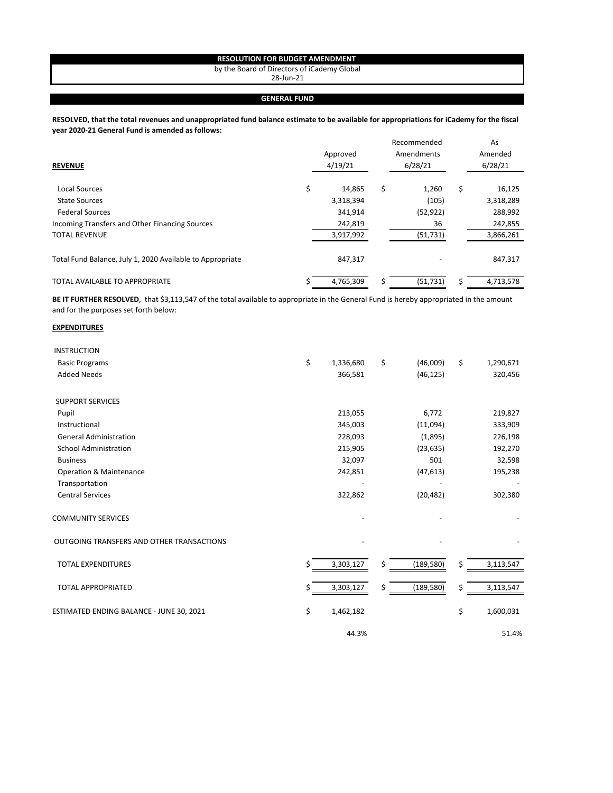## **RESOLUTION FOR BUDGET AMENDMENT**

by the Board of Directors of iCademy Global

28-Jun-21

## **GENERAL FUND**

**RESOLVED, that the total revenues and unappropriated fund balance estimate to be available for appropriations for iCademy for the fiscal year 2020-21 General Fund is amended as follows:**

| <b>REVENUE</b>                                            | Approved<br>4/19/21 |    | Recommended<br>Amendments<br>6/28/21 | As<br>Amended<br>6/28/21 |
|-----------------------------------------------------------|---------------------|----|--------------------------------------|--------------------------|
| Local Sources                                             | \$<br>14,865        | \$ | 1,260                                | \$<br>16,125             |
| <b>State Sources</b>                                      | 3,318,394           |    | (105)                                | 3,318,289                |
| <b>Federal Sources</b>                                    | 341,914             |    | (52, 922)                            | 288,992                  |
| Incoming Transfers and Other Financing Sources            | 242,819             |    | 36                                   | 242,855                  |
| <b>TOTAL REVENUE</b>                                      | 3,917,992           |    | (51, 731)                            | 3,866,261                |
| Total Fund Balance, July 1, 2020 Available to Appropriate | 847,317             |    |                                      | 847,317                  |
| TOTAL AVAILABLE TO APPROPRIATE                            | 4,765,309           | Ś  | (51, 731)                            | 4,713,578                |

BE IT FURTHER RESOLVED, that \$3,113,547 of the total available to appropriate in the General Fund is hereby appropriated in the amount and for the purposes set forth below:

## **EXPENDITURES**

| <b>INSTRUCTION</b>                        |                 |                  |                 |
|-------------------------------------------|-----------------|------------------|-----------------|
| <b>Basic Programs</b>                     | \$<br>1,336,680 | \$<br>(46,009)   | \$<br>1,290,671 |
| <b>Added Needs</b>                        | 366,581         | (46, 125)        | 320,456         |
| <b>SUPPORT SERVICES</b>                   |                 |                  |                 |
| Pupil                                     | 213,055         | 6,772            | 219,827         |
| Instructional                             | 345,003         | (11,094)         | 333,909         |
| <b>General Administration</b>             | 228,093         | (1,895)          | 226,198         |
| <b>School Administration</b>              | 215,905         | (23, 635)        | 192,270         |
| <b>Business</b>                           | 32,097          | 501              | 32,598          |
| <b>Operation &amp; Maintenance</b>        | 242,851         | (47, 613)        | 195,238         |
| Transportation                            |                 |                  |                 |
| <b>Central Services</b>                   | 322,862         | (20, 482)        | 302,380         |
| <b>COMMUNITY SERVICES</b>                 |                 |                  |                 |
| OUTGOING TRANSFERS AND OTHER TRANSACTIONS |                 |                  |                 |
| <b>TOTAL EXPENDITURES</b>                 | \$<br>3,303,127 | \$<br>(189, 580) | \$<br>3,113,547 |
| <b>TOTAL APPROPRIATED</b>                 | \$<br>3,303,127 | \$<br>(189, 580) | \$<br>3,113,547 |
| ESTIMATED ENDING BALANCE - JUNE 30, 2021  | \$<br>1,462,182 |                  | \$<br>1,600,031 |
|                                           | 44.3%           |                  | 51.4%           |